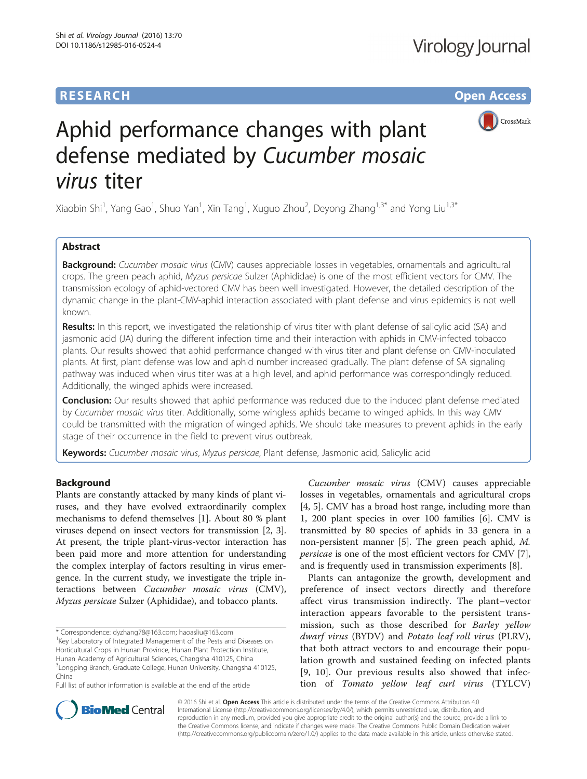# **RESEARCH CHE Open Access**



# Aphid performance changes with plant defense mediated by Cucumber mosaic virus titer

Xiaobin Shi<sup>1</sup>, Yang Gao<sup>1</sup>, Shuo Yan<sup>1</sup>, Xin Tang<sup>1</sup>, Xuguo Zhou<sup>2</sup>, Deyong Zhang<sup>1,3\*</sup> and Yong Liu<sup>1,3\*</sup>

## Abstract

Background: Cucumber mosaic virus (CMV) causes appreciable losses in vegetables, ornamentals and agricultural crops. The green peach aphid, Myzus persicae Sulzer (Aphididae) is one of the most efficient vectors for CMV. The transmission ecology of aphid-vectored CMV has been well investigated. However, the detailed description of the dynamic change in the plant-CMV-aphid interaction associated with plant defense and virus epidemics is not well known.

Results: In this report, we investigated the relationship of virus titer with plant defense of salicylic acid (SA) and jasmonic acid (JA) during the different infection time and their interaction with aphids in CMV-infected tobacco plants. Our results showed that aphid performance changed with virus titer and plant defense on CMV-inoculated plants. At first, plant defense was low and aphid number increased gradually. The plant defense of SA signaling pathway was induced when virus titer was at a high level, and aphid performance was correspondingly reduced. Additionally, the winged aphids were increased.

**Conclusion:** Our results showed that aphid performance was reduced due to the induced plant defense mediated by Cucumber mosaic virus titer. Additionally, some wingless aphids became to winged aphids. In this way CMV could be transmitted with the migration of winged aphids. We should take measures to prevent aphids in the early stage of their occurrence in the field to prevent virus outbreak.

Keywords: Cucumber mosaic virus, Myzus persicae, Plant defense, Jasmonic acid, Salicylic acid

### Background

Plants are constantly attacked by many kinds of plant viruses, and they have evolved extraordinarily complex mechanisms to defend themselves [[1\]](#page-4-0). About 80 % plant viruses depend on insect vectors for transmission [[2, 3](#page-4-0)]. At present, the triple plant-virus-vector interaction has been paid more and more attention for understanding the complex interplay of factors resulting in virus emergence. In the current study, we investigate the triple interactions between Cucumber mosaic virus (CMV), Myzus persicae Sulzer (Aphididae), and tobacco plants.

<sup>1</sup> Key Laboratory of Integrated Management of the Pests and Diseases on Horticultural Crops in Hunan Province, Hunan Plant Protection Institute, Hunan Academy of Agricultural Sciences, Changsha 410125, China <sup>3</sup> Longping Branch, Graduate College, Hunan University, Changsha 410125, China

Full list of author information is available at the end of the article

Cucumber mosaic virus (CMV) causes appreciable losses in vegetables, ornamentals and agricultural crops [[4, 5\]](#page-4-0). CMV has a broad host range, including more than 1, 200 plant species in over 100 families [[6\]](#page-4-0). CMV is transmitted by 80 species of aphids in 33 genera in a non-persistent manner [\[5](#page-4-0)]. The green peach aphid, M. persicae is one of the most efficient vectors for CMV [\[7](#page-4-0)], and is frequently used in transmission experiments [[8\]](#page-4-0).

Plants can antagonize the growth, development and preference of insect vectors directly and therefore affect virus transmission indirectly. The plant–vector interaction appears favorable to the persistent transmission, such as those described for Barley yellow dwarf virus (BYDV) and Potato leaf roll virus (PLRV), that both attract vectors to and encourage their population growth and sustained feeding on infected plants [[9, 10](#page-4-0)]. Our previous results also showed that infection of Tomato yellow leaf curl virus (TYLCV)



© 2016 Shi et al. Open Access This article is distributed under the terms of the Creative Commons Attribution 4.0 International License [\(http://creativecommons.org/licenses/by/4.0/](http://creativecommons.org/licenses/by/4.0/)), which permits unrestricted use, distribution, and reproduction in any medium, provided you give appropriate credit to the original author(s) and the source, provide a link to the Creative Commons license, and indicate if changes were made. The Creative Commons Public Domain Dedication waiver [\(http://creativecommons.org/publicdomain/zero/1.0/](http://creativecommons.org/publicdomain/zero/1.0/)) applies to the data made available in this article, unless otherwise stated.

<sup>\*</sup> Correspondence: [dyzhang78@163.com](mailto:dyzhang78@163.com); [haoasliu@163.com](mailto:haoasliu@163.com) <sup>1</sup>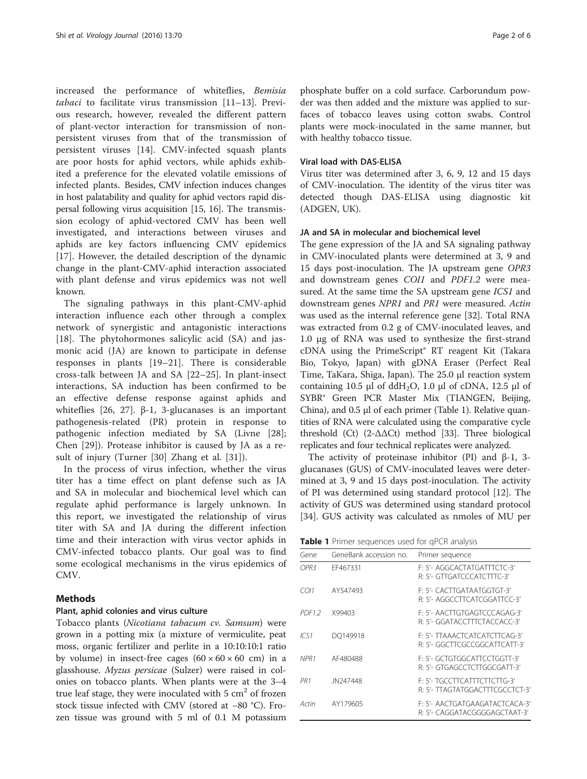increased the performance of whiteflies, Bemisia tabaci to facilitate virus transmission [\[11](#page-5-0)–[13](#page-5-0)]. Previous research, however, revealed the different pattern of plant-vector interaction for transmission of nonpersistent viruses from that of the transmission of persistent viruses [\[14](#page-5-0)]. CMV-infected squash plants are poor hosts for aphid vectors, while aphids exhibited a preference for the elevated volatile emissions of infected plants. Besides, CMV infection induces changes in host palatability and quality for aphid vectors rapid dispersal following virus acquisition [[15](#page-5-0), [16](#page-5-0)]. The transmission ecology of aphid-vectored CMV has been well investigated, and interactions between viruses and aphids are key factors influencing CMV epidemics [[17\]](#page-5-0). However, the detailed description of the dynamic change in the plant-CMV-aphid interaction associated with plant defense and virus epidemics was not well known.

The signaling pathways in this plant-CMV-aphid interaction influence each other through a complex network of synergistic and antagonistic interactions [[18\]](#page-5-0). The phytohormones salicylic acid (SA) and jasmonic acid (JA) are known to participate in defense responses in plants [[19](#page-5-0)–[21\]](#page-5-0). There is considerable cross-talk between JA and SA [[22](#page-5-0)–[25](#page-5-0)]. In plant-insect interactions, SA induction has been confirmed to be an effective defense response against aphids and whiteflies  $[26, 27]$ . β-1, 3-glucanases is an important pathogenesis-related (PR) protein in response to pathogenic infection mediated by SA (Livne [\[28](#page-5-0)]; Chen [[29\]](#page-5-0)). Protease inhibitor is caused by JA as a result of injury (Turner [\[30](#page-5-0)] Zhang et al. [\[31](#page-5-0)]).

In the process of virus infection, whether the virus titer has a time effect on plant defense such as JA and SA in molecular and biochemical level which can regulate aphid performance is largely unknown. In this report, we investigated the relationship of virus titer with SA and JA during the different infection time and their interaction with virus vector aphids in CMV-infected tobacco plants. Our goal was to find some ecological mechanisms in the virus epidemics of CMV.

#### **Methods**

#### Plant, aphid colonies and virus culture

Tobacco plants (Nicotiana tabacum cv. Samsum) were grown in a potting mix (a mixture of vermiculite, peat moss, organic fertilizer and perlite in a 10:10:10:1 ratio by volume) in insect-free cages  $(60 \times 60 \times 60 \text{ cm})$  in a glasshouse. Myzus persicae (Sulzer) were raised in colonies on tobacco plants. When plants were at the 3–4 true leaf stage, they were inoculated with  $5 \text{ cm}^2$  of frozen stock tissue infected with CMV (stored at −80 °C). Frozen tissue was ground with 5 ml of 0.1 M potassium

phosphate buffer on a cold surface. Carborundum powder was then added and the mixture was applied to surfaces of tobacco leaves using cotton swabs. Control plants were mock-inoculated in the same manner, but with healthy tobacco tissue.

#### Viral load with DAS-ELISA

Virus titer was determined after 3, 6, 9, 12 and 15 days of CMV-inoculation. The identity of the virus titer was detected though DAS-ELISA using diagnostic kit (ADGEN, UK).

#### JA and SA in molecular and biochemical level

The gene expression of the JA and SA signaling pathway in CMV-inoculated plants were determined at 3, 9 and 15 days post-inoculation. The JA upstream gene OPR3 and downstream genes COI1 and PDF1.2 were measured. At the same time the SA upstream gene ICS1 and downstream genes NPR1 and PR1 were measured. Actin was used as the internal reference gene [[32](#page-5-0)]. Total RNA was extracted from 0.2 g of CMV-inoculated leaves, and 1.0 μg of RNA was used to synthesize the first-strand cDNA using the PrimeScript® RT reagent Kit (Takara Bio, Tokyo, Japan) with gDNA Eraser (Perfect Real Time, TaKara, Shiga, Japan). The 25.0 μl reaction system containing 10.5 μl of ddH<sub>2</sub>O, 1.0 μl of cDNA, 12.5 μl of SYBR® Green PCR Master Mix (TIANGEN, Beijing, China), and 0.5 μl of each primer (Table 1). Relative quantities of RNA were calculated using the comparative cycle threshold (Ct)  $(2-\Delta\Delta Ct)$  method [[33\]](#page-5-0). Three biological replicates and four technical replicates were analyzed.

The activity of proteinase inhibitor (PI) and  $β-1$ , 3glucanases (GUS) of CMV-inoculated leaves were determined at 3, 9 and 15 days post-inoculation. The activity of PI was determined using standard protocol [[12](#page-5-0)]. The activity of GUS was determined using standard protocol [[34\]](#page-5-0). GUS activity was calculated as nmoles of MU per

Table 1 Primer sequences used for qPCR analysis

| Gene               | GeneBank accession no. | Primer sequence                                                 |
|--------------------|------------------------|-----------------------------------------------------------------|
| OPR3               | FF467331               | F: 5'- AGGCACTATGATTTCTC-3'<br>R: 5'- GTTGATCCCATCTTTC-3'       |
| CO11               | AY547493               | E: 5'- CACTTGATAATGGTGT-3'<br>R: 5'- AGGCCTTCATCGGATTCC-3'      |
| PDF <sub>1.2</sub> | X99403                 | E: 5'- AACTTGTGAGTCCCAGAG-3'<br>R: 5'- GGATACCTTTCTACCACC-3'    |
| ICS1               | DO149918               | F: 5'- TTAAACTCATCATCTTCAG-3'<br>R: 5'- GGCTTCGCCGGCATTCATT-3'  |
| NPR <sub>1</sub>   | AF480488               | F: 5'- GCTGTGGCATTCCTGGTT-3'<br>R: 5'- GTGAGCCTCTTGGCGATT-3'    |
| PR1                | JN247448               | F: 5'- TGCCTTCATTTCTTCTTG-3'<br>R: 5'- TTAGTATGGACTTTCGCCTCT-3' |
| Actin              | AY179605               | F: 5'- AACTGATGAAGATACTCACA-3'<br>R: 5'- CAGGATACGGGGAGCTAAT-3' |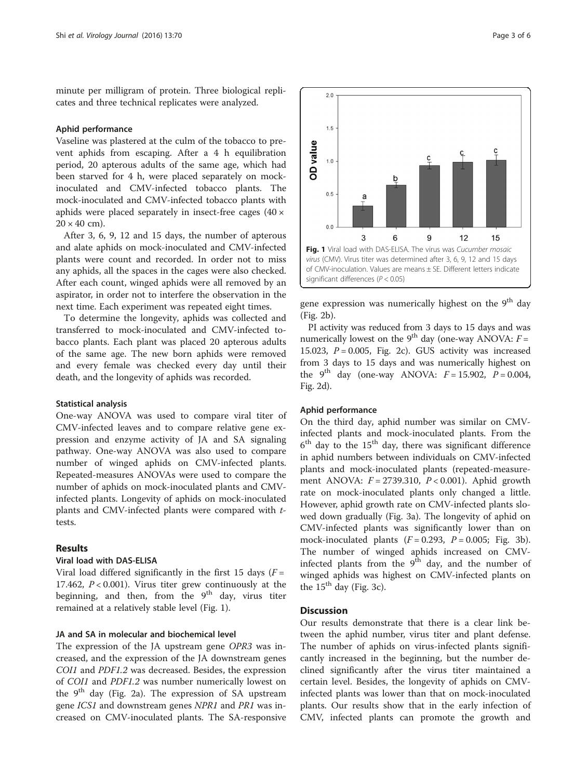minute per milligram of protein. Three biological replicates and three technical replicates were analyzed.

#### Aphid performance

Vaseline was plastered at the culm of the tobacco to prevent aphids from escaping. After a 4 h equilibration period, 20 apterous adults of the same age, which had been starved for 4 h, were placed separately on mockinoculated and CMV-infected tobacco plants. The mock-inoculated and CMV-infected tobacco plants with aphids were placed separately in insect-free cages (40 ×  $20 \times 40$  cm).

After 3, 6, 9, 12 and 15 days, the number of apterous and alate aphids on mock-inoculated and CMV-infected plants were count and recorded. In order not to miss any aphids, all the spaces in the cages were also checked. After each count, winged aphids were all removed by an aspirator, in order not to interfere the observation in the next time. Each experiment was repeated eight times.

To determine the longevity, aphids was collected and transferred to mock-inoculated and CMV-infected tobacco plants. Each plant was placed 20 apterous adults of the same age. The new born aphids were removed and every female was checked every day until their death, and the longevity of aphids was recorded.

#### Statistical analysis

One-way ANOVA was used to compare viral titer of CMV-infected leaves and to compare relative gene expression and enzyme activity of JA and SA signaling pathway. One-way ANOVA was also used to compare number of winged aphids on CMV-infected plants. Repeated-measures ANOVAs were used to compare the number of aphids on mock-inoculated plants and CMVinfected plants. Longevity of aphids on mock-inoculated plants and CMV-infected plants were compared with ttests.

#### Results

#### Viral load with DAS-ELISA

Viral load differed significantly in the first 15 days  $(F =$ 17.462,  $P < 0.001$ ). Virus titer grew continuously at the beginning, and then, from the  $9<sup>th</sup>$  day, virus titer remained at a relatively stable level (Fig. 1).

### JA and SA in molecular and biochemical level

The expression of the JA upstream gene OPR3 was increased, and the expression of the JA downstream genes COI1 and PDF1.2 was decreased. Besides, the expression of COI1 and PDF1.2 was number numerically lowest on the  $9<sup>th</sup>$  day (Fig. [2a](#page-3-0)). The expression of SA upstream gene ICS1 and downstream genes NPR1 and PR1 was increased on CMV-inoculated plants. The SA-responsive



gene expression was numerically highest on the 9<sup>th</sup> day (Fig. [2b](#page-3-0)).

PI activity was reduced from 3 days to 15 days and was numerically lowest on the 9<sup>th</sup> day (one-way ANOVA:  $F =$ 15.023,  $P = 0.005$ , Fig. [2c](#page-3-0)). GUS activity was increased from 3 days to 15 days and was numerically highest on the 9<sup>th</sup> day (one-way ANOVA:  $F = 15.902$ ,  $P = 0.004$ , Fig. [2d](#page-3-0)).

#### Aphid performance

On the third day, aphid number was similar on CMVinfected plants and mock-inoculated plants. From the  $6<sup>th</sup>$  day to the 15<sup>th</sup> day, there was significant difference in aphid numbers between individuals on CMV-infected plants and mock-inoculated plants (repeated-measurement ANOVA:  $F = 2739.310$ ,  $P < 0.001$ ). Aphid growth rate on mock-inoculated plants only changed a little. However, aphid growth rate on CMV-infected plants slowed down gradually (Fig. [3a\)](#page-3-0). The longevity of aphid on CMV-infected plants was significantly lower than on mock-inoculated plants  $(F = 0.293, P = 0.005; Fig. 3b)$  $(F = 0.293, P = 0.005; Fig. 3b)$  $(F = 0.293, P = 0.005; Fig. 3b)$ . The number of winged aphids increased on CMVinfected plants from the  $9<sup>th</sup>$  day, and the number of winged aphids was highest on CMV-infected plants on the  $15<sup>th</sup>$  day (Fig. [3c\)](#page-3-0).

#### **Discussion**

Our results demonstrate that there is a clear link between the aphid number, virus titer and plant defense. The number of aphids on virus-infected plants significantly increased in the beginning, but the number declined significantly after the virus titer maintained a certain level. Besides, the longevity of aphids on CMVinfected plants was lower than that on mock-inoculated plants. Our results show that in the early infection of CMV, infected plants can promote the growth and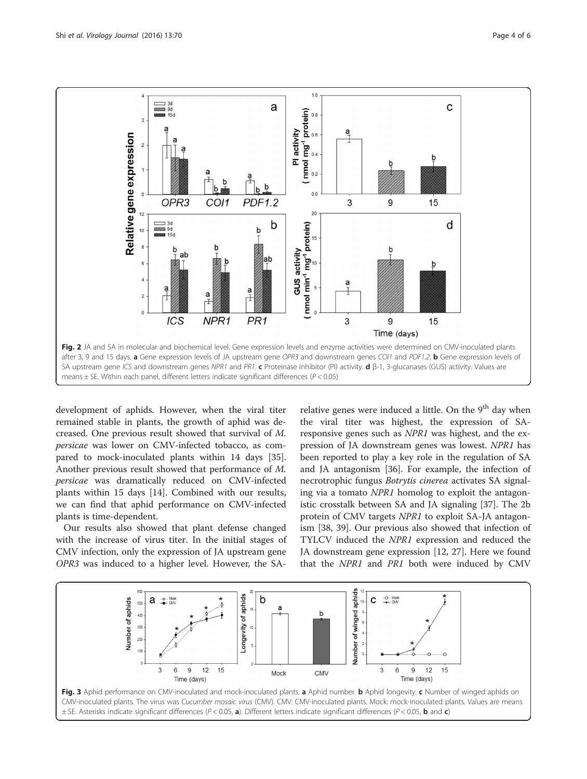<span id="page-3-0"></span>

development of aphids. However, when the viral titer remained stable in plants, the growth of aphid was decreased. One previous result showed that survival of M. persicae was lower on CMV-infected tobacco, as compared to mock-inoculated plants within 14 days [\[35](#page-5-0)]. Another previous result showed that performance of M. persicae was dramatically reduced on CMV-infected plants within 15 days [[14\]](#page-5-0). Combined with our results, we can find that aphid performance on CMV-infected plants is time-dependent.

Our results also showed that plant defense changed with the increase of virus titer. In the initial stages of CMV infection, only the expression of JA upstream gene OPR3 was induced to a higher level. However, the SA-

relative genes were induced a little. On the 9<sup>th</sup> day when the viral titer was highest, the expression of SAresponsive genes such as NPR1 was highest, and the expression of JA downstream genes was lowest. NPR1 has been reported to play a key role in the regulation of SA and JA antagonism [[36\]](#page-5-0). For example, the infection of necrotrophic fungus Botrytis cinerea activates SA signaling via a tomato NPR1 homolog to exploit the antagonistic crosstalk between SA and JA signaling [[37](#page-5-0)]. The 2b protein of CMV targets NPR1 to exploit SA-JA antagonism [[38, 39](#page-5-0)]. Our previous also showed that infection of TYLCV induced the NPR1 expression and reduced the JA downstream gene expression [\[12](#page-5-0), [27](#page-5-0)]. Here we found that the NPR1 and PR1 both were induced by CMV

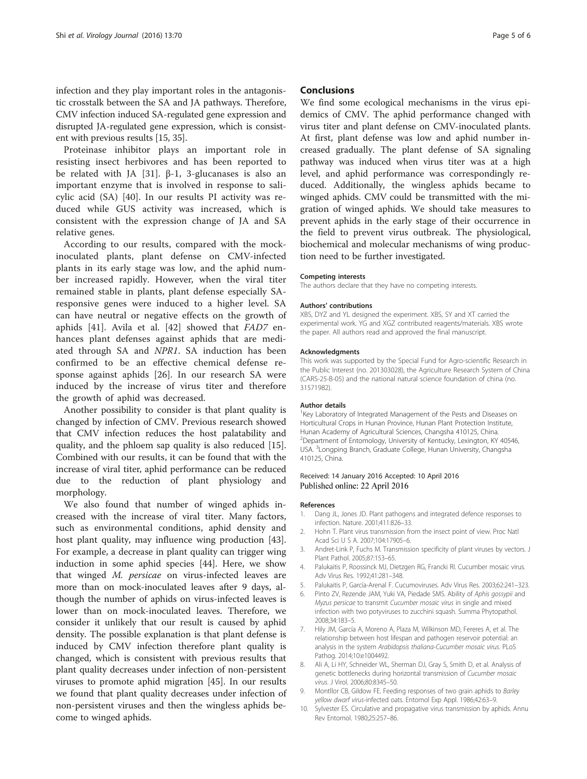<span id="page-4-0"></span>infection and they play important roles in the antagonistic crosstalk between the SA and JA pathways. Therefore, CMV infection induced SA-regulated gene expression and disrupted JA-regulated gene expression, which is consistent with previous results [[15](#page-5-0), [35\]](#page-5-0).

Proteinase inhibitor plays an important role in resisting insect herbivores and has been reported to be related with JA [\[31](#page-5-0)]. β-1, 3-glucanases is also an important enzyme that is involved in response to salicylic acid (SA) [[40](#page-5-0)]. In our results PI activity was reduced while GUS activity was increased, which is consistent with the expression change of JA and SA relative genes.

According to our results, compared with the mockinoculated plants, plant defense on CMV-infected plants in its early stage was low, and the aphid number increased rapidly. However, when the viral titer remained stable in plants, plant defense especially SAresponsive genes were induced to a higher level. SA can have neutral or negative effects on the growth of aphids [\[41](#page-5-0)]. Avila et al. [[42\]](#page-5-0) showed that FAD7 enhances plant defenses against aphids that are mediated through SA and NPR1. SA induction has been confirmed to be an effective chemical defense response against aphids [[26\]](#page-5-0). In our research SA were induced by the increase of virus titer and therefore the growth of aphid was decreased.

Another possibility to consider is that plant quality is changed by infection of CMV. Previous research showed that CMV infection reduces the host palatability and quality, and the phloem sap quality is also reduced [\[15](#page-5-0)]. Combined with our results, it can be found that with the increase of viral titer, aphid performance can be reduced due to the reduction of plant physiology and morphology.

We also found that number of winged aphids increased with the increase of viral titer. Many factors, such as environmental conditions, aphid density and host plant quality, may influence wing production [\[43](#page-5-0)]. For example, a decrease in plant quality can trigger wing induction in some aphid species [[44](#page-5-0)]. Here, we show that winged M. persicae on virus-infected leaves are more than on mock-inoculated leaves after 9 days, although the number of aphids on virus-infected leaves is lower than on mock-inoculated leaves. Therefore, we consider it unlikely that our result is caused by aphid density. The possible explanation is that plant defense is induced by CMV infection therefore plant quality is changed, which is consistent with previous results that plant quality decreases under infection of non-persistent viruses to promote aphid migration [[45\]](#page-5-0). In our results we found that plant quality decreases under infection of non-persistent viruses and then the wingless aphids become to winged aphids.

#### **Conclusions**

We find some ecological mechanisms in the virus epidemics of CMV. The aphid performance changed with virus titer and plant defense on CMV-inoculated plants. At first, plant defense was low and aphid number increased gradually. The plant defense of SA signaling pathway was induced when virus titer was at a high level, and aphid performance was correspondingly reduced. Additionally, the wingless aphids became to winged aphids. CMV could be transmitted with the migration of winged aphids. We should take measures to prevent aphids in the early stage of their occurrence in the field to prevent virus outbreak. The physiological, biochemical and molecular mechanisms of wing production need to be further investigated.

#### Competing interests

The authors declare that they have no competing interests.

#### Authors' contributions

XBS, DYZ and YL designed the experiment. XBS, SY and XT carried the experimental work. YG and XGZ contributed reagents/materials. XBS wrote the paper. All authors read and approved the final manuscript.

#### Acknowledgments

This work was supported by the Special Fund for Agro-scientific Research in the Public Interest (no. 201303028), the Agriculture Research System of China (CARS-25-B-05) and the national natural science foundation of china (no. 31571982).

#### Author details

<sup>1</sup> Key Laboratory of Integrated Management of the Pests and Diseases on Horticultural Crops in Hunan Province, Hunan Plant Protection Institute, Hunan Academy of Agricultural Sciences, Changsha 410125, China. 2 Department of Entomology, University of Kentucky, Lexington, KY 40546, USA. <sup>3</sup> Longping Branch, Graduate College, Hunan University, Changsha 410125, China.

#### Received: 14 January 2016 Accepted: 10 April 2016 Published online: 22 April 2016

#### References

- 1. Dang JL, Jones JD. Plant pathogens and integrated defence responses to infection. Nature. 2001;411:826–33.
- 2. Hohn T. Plant virus transmission from the insect point of view. Proc Natl Acad Sci U S A. 2007;104:17905–6.
- 3. Andret-Link P, Fuchs M. Transmission specificity of plant viruses by vectors. J Plant Pathol. 2005;87:153–65.
- 4. Palukaitis P, Roossinck MJ, Dietzgen RG, Francki RI. Cucumber mosaic virus. Adv Virus Res. 1992;41:281–348.
- 5. Palukaitis P, García-Arenal F. Cucumoviruses. Adv Virus Res. 2003;62:241–323.
- 6. Pinto ZV, Rezende JAM, Yuki VA, Piedade SMS. Ability of Aphis gossypii and Myzus persicae to transmit Cucumber mosaic virus in single and mixed infection with two potyviruses to zucchini squash. Summa Phytopathol. 2008;34:183–5.
- 7. Hily JM, García A, Moreno A, Plaza M, Wilkinson MD, Fereres A, et al. The relationship between host lifespan and pathogen reservoir potential: an analysis in the system Arabidopsis thaliana-Cucumber mosaic virus. PLoS Pathog. 2014;10:e1004492.
- 8. Ali A, Li HY, Schneider WL, Sherman DJ, Gray S, Smith D, et al. Analysis of genetic bottlenecks during horizontal transmission of Cucumber mosaic virus. J Virol. 2006;80:8345–50.
- 9. Montllor CB, Gildow FE. Feeding responses of two grain aphids to Barley yellow dwarf virus-infected oats. Entomol Exp Appl. 1986;42:63–9.
- 10. Sylvester ES. Circulative and propagative virus transmission by aphids. Annu Rev Entomol. 1980;25:257–86.